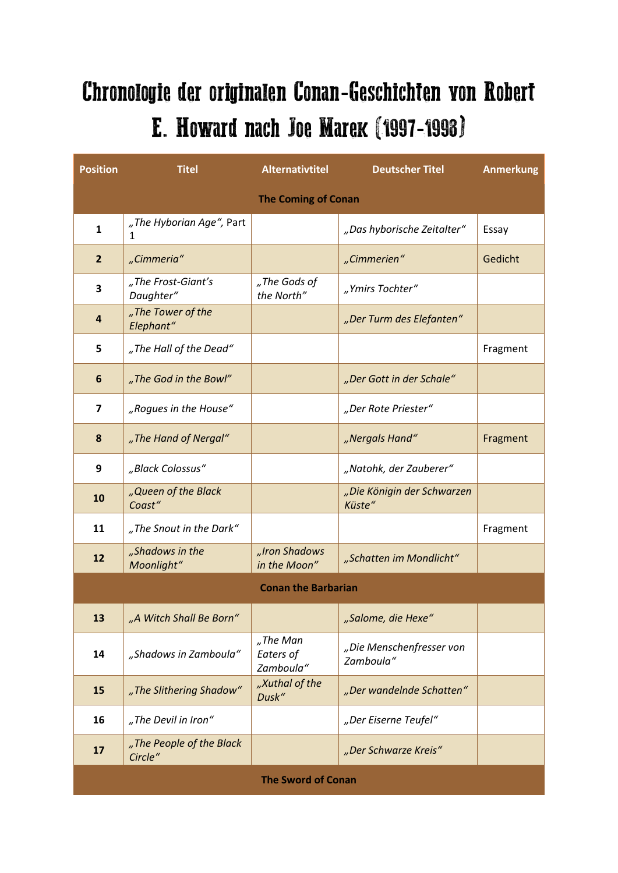## Chronologie der originalen Conan-Geschichten von Robert E. Howard nach Joe Marek (1997-1998)

| <b>Position</b>            | <b>Titel</b>                        | <b>Alternativtitel</b>             | <b>Deutscher Titel</b>                | <b>Anmerkung</b> |  |  |
|----------------------------|-------------------------------------|------------------------------------|---------------------------------------|------------------|--|--|
| <b>The Coming of Conan</b> |                                     |                                    |                                       |                  |  |  |
| 1                          | "The Hyborian Age", Part<br>1       |                                    | "Das hyborische Zeitalter"            | Essay            |  |  |
| $\overline{2}$             | "Cimmeria"                          |                                    | "Cimmerien"                           | Gedicht          |  |  |
| 3                          | "The Frost-Giant's<br>Daughter"     | "The Gods of<br>the North"         | "Ymirs Tochter"                       |                  |  |  |
| 4                          | "The Tower of the<br>Elephant"      |                                    | "Der Turm des Elefanten"              |                  |  |  |
| 5                          | "The Hall of the Dead"              |                                    |                                       | Fragment         |  |  |
| 6                          | "The God in the Bowl"               |                                    | "Der Gott in der Schale"              |                  |  |  |
| 7                          | "Rogues in the House"               |                                    | "Der Rote Priester"                   |                  |  |  |
| 8                          | "The Hand of Nergal"                |                                    | "Nergals Hand"                        | Fragment         |  |  |
| 9                          | "Black Colossus"                    |                                    | "Natohk, der Zauberer"                |                  |  |  |
| 10                         | "Queen of the Black<br>Coast"       |                                    | "Die Königin der Schwarzen<br>Küste"  |                  |  |  |
| 11                         | "The Snout in the Dark"             |                                    |                                       | Fragment         |  |  |
| 12                         | "Shadows in the<br>Moonlight"       | "Iron Shadows<br>in the Moon"      | "Schatten im Mondlicht"               |                  |  |  |
| <b>Conan the Barbarian</b> |                                     |                                    |                                       |                  |  |  |
| 13                         | "A Witch Shall Be Born"             |                                    | "Salome, die Hexe"                    |                  |  |  |
| 14                         | "Shadows in Zamboula"               | "The Man<br>Eaters of<br>Zamboula" | "Die Menschenfresser von<br>Zamboula" |                  |  |  |
| 15                         | "The Slithering Shadow"             | "Xuthal of the<br>Dusk"            | "Der wandelnde Schatten"              |                  |  |  |
| 16                         | "The Devil in Iron"                 |                                    | "Der Eiserne Teufel"                  |                  |  |  |
| 17                         | "The People of the Black<br>Circle" |                                    | "Der Schwarze Kreis"                  |                  |  |  |
| <b>The Sword of Conan</b>  |                                     |                                    |                                       |                  |  |  |